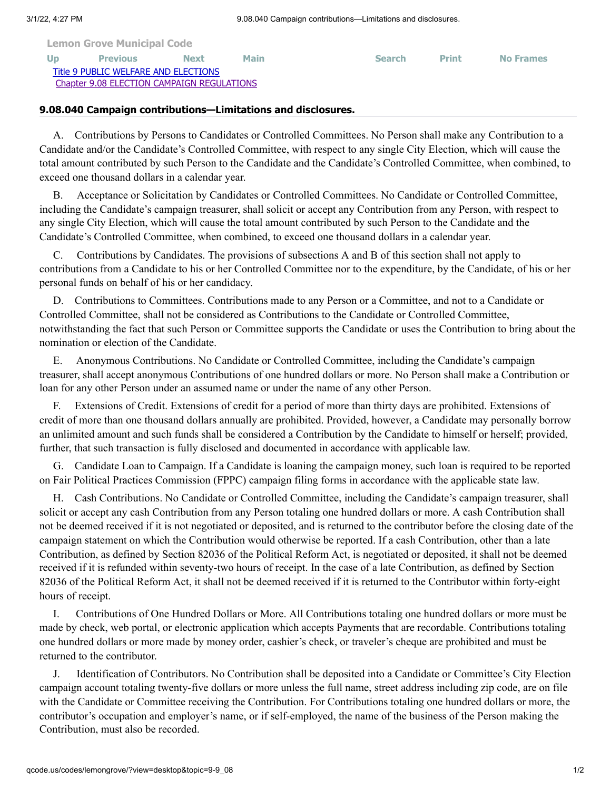| <b>Lemon Grove Municipal Code</b>    |                                                   |             |             |               |              |                  |
|--------------------------------------|---------------------------------------------------|-------------|-------------|---------------|--------------|------------------|
| Up.                                  | Previous                                          | <b>Next</b> | <b>Main</b> | <b>Search</b> | <b>Print</b> | <b>No Frames</b> |
| Title 9 PUBLIC WELFARE AND ELECTIONS |                                                   |             |             |               |              |                  |
|                                      | <b>Chapter 9.08 ELECTION CAMPAIGN REGULATIONS</b> |             |             |               |              |                  |

## **9.08.040 Campaign contributions—Limitations and disclosures.**

A. Contributions by Persons to Candidates or Controlled Committees. No Person shall make any Contribution to a Candidate and/or the Candidate's Controlled Committee, with respect to any single City Election, which will cause the total amount contributed by such Person to the Candidate and the Candidate's Controlled Committee, when combined, to exceed one thousand dollars in a calendar year.

B. Acceptance or Solicitation by Candidates or Controlled Committees. No Candidate or Controlled Committee, including the Candidate's campaign treasurer, shall solicit or accept any Contribution from any Person, with respect to any single City Election, which will cause the total amount contributed by such Person to the Candidate and the Candidate's Controlled Committee, when combined, to exceed one thousand dollars in a calendar year.

C. Contributions by Candidates. The provisions of subsections A and B of this section shall not apply to contributions from a Candidate to his or her Controlled Committee nor to the expenditure, by the Candidate, of his or her personal funds on behalf of his or her candidacy.

D. Contributions to Committees. Contributions made to any Person or a Committee, and not to a Candidate or Controlled Committee, shall not be considered as Contributions to the Candidate or Controlled Committee, notwithstanding the fact that such Person or Committee supports the Candidate or uses the Contribution to bring about the nomination or election of the Candidate.

E. Anonymous Contributions. No Candidate or Controlled Committee, including the Candidate's campaign treasurer, shall accept anonymous Contributions of one hundred dollars or more. No Person shall make a Contribution or loan for any other Person under an assumed name or under the name of any other Person.

F. Extensions of Credit. Extensions of credit for a period of more than thirty days are prohibited. Extensions of credit of more than one thousand dollars annually are prohibited. Provided, however, a Candidate may personally borrow an unlimited amount and such funds shall be considered a Contribution by the Candidate to himself or herself; provided, further, that such transaction is fully disclosed and documented in accordance with applicable law.

G. Candidate Loan to Campaign. If a Candidate is loaning the campaign money, such loan is required to be reported on Fair Political Practices Commission (FPPC) campaign filing forms in accordance with the applicable state law.

H. Cash Contributions. No Candidate or Controlled Committee, including the Candidate's campaign treasurer, shall solicit or accept any cash Contribution from any Person totaling one hundred dollars or more. A cash Contribution shall not be deemed received if it is not negotiated or deposited, and is returned to the contributor before the closing date of the campaign statement on which the Contribution would otherwise be reported. If a cash Contribution, other than a late Contribution, as defined by Section 82036 of the Political Reform Act, is negotiated or deposited, it shall not be deemed received if it is refunded within seventy-two hours of receipt. In the case of a late Contribution, as defined by Section 82036 of the Political Reform Act, it shall not be deemed received if it is returned to the Contributor within forty-eight hours of receipt.

I. Contributions of One Hundred Dollars or More. All Contributions totaling one hundred dollars or more must be made by check, web portal, or electronic application which accepts Payments that are recordable. Contributions totaling one hundred dollars or more made by money order, cashier's check, or traveler's cheque are prohibited and must be returned to the contributor.

J. Identification of Contributors. No Contribution shall be deposited into a Candidate or Committee's City Election campaign account totaling twenty-five dollars or more unless the full name, street address including zip code, are on file with the Candidate or Committee receiving the Contribution. For Contributions totaling one hundred dollars or more, the contributor's occupation and employer's name, or if self-employed, the name of the business of the Person making the Contribution, must also be recorded.